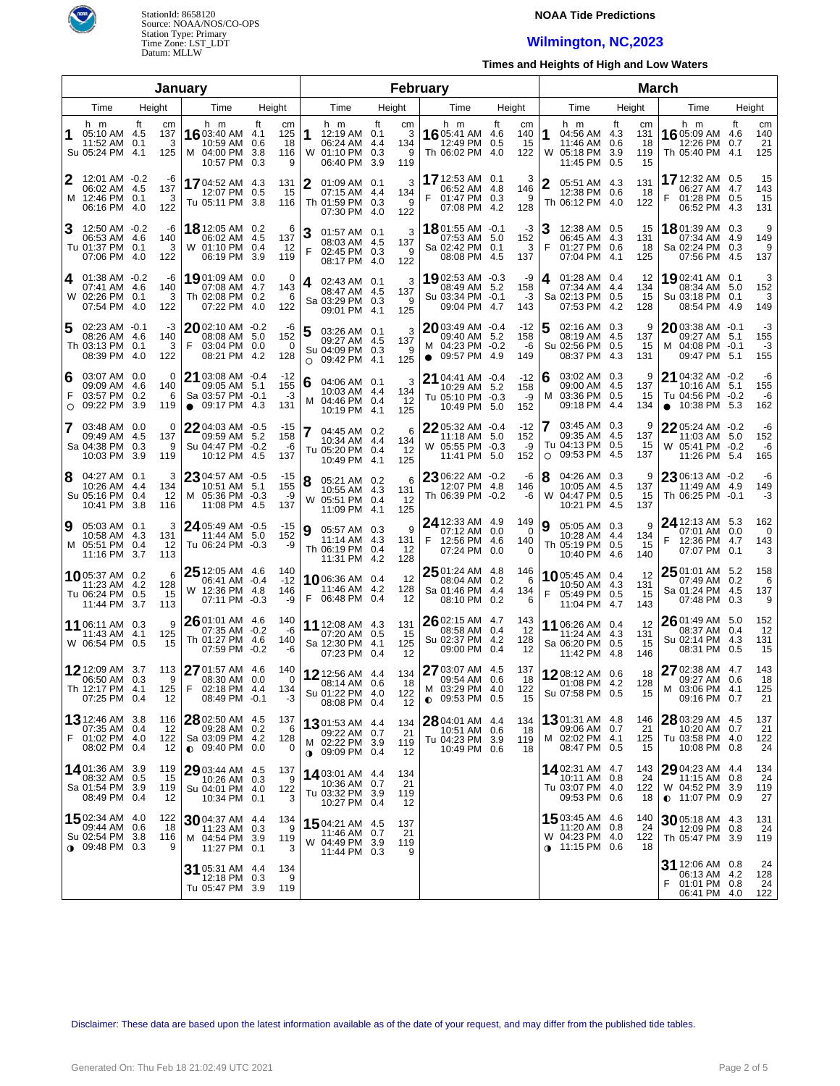

# **NOAA Tide Predictions**

# **Wilmington, NC,2023**

**Times and Heights of High and Low Waters**

|                                  |                                                                         |                                            | January                                                                           |                                                               | February                                      |                                                              |    |                            |                                                                                 |                                            | <b>March</b> |                                                                           |                                    |                                                                                   |                                            |  |  |
|----------------------------------|-------------------------------------------------------------------------|--------------------------------------------|-----------------------------------------------------------------------------------|---------------------------------------------------------------|-----------------------------------------------|--------------------------------------------------------------|----|----------------------------|---------------------------------------------------------------------------------|--------------------------------------------|--------------|---------------------------------------------------------------------------|------------------------------------|-----------------------------------------------------------------------------------|--------------------------------------------|--|--|
| Time<br>Height<br>Height<br>Time |                                                                         |                                            |                                                                                   |                                                               |                                               | Time                                                         |    | Height                     | Time                                                                            | Height                                     |              | Time                                                                      | Height                             | Time                                                                              | Height                                     |  |  |
| 1                                | h m<br>05:10 AM 4.5<br>11:52 AM 0.1<br>Su 05:24 PM 4.1                  | ft<br>cm<br>137<br>3<br>125                | h m<br>16 03:40 AM<br>10:59 AM<br>M 04:00 PM<br>10:57 PM                          | ft<br>cm<br>125<br>4.1<br>0.6<br>18<br>3.8<br>116<br>9<br>0.3 | h m<br>1<br>W 01:10 PM 0.3                    | 12:19 AM 0.1<br>06:24 AM 4.4<br>06:40 PM 3.9                 | ft | cm<br>3<br>134<br>9<br>119 | h m<br>16 05:41 AM<br>12:49 PM<br>Th 06:02 PM 4.0                               | ft<br>cm<br>4.6<br>140<br>0.5<br>15<br>122 | 1<br>W       | h m<br>04:56 AM 4.3<br>11:46 AM 0.6<br>05:18 PM 3.9<br>11:45 PM 0.5       | ft<br>cm<br>131<br>18<br>119<br>15 | h m<br>16 05:09 AM<br>12:26 PM<br>Th 05:40 PM 4.1                                 | ft<br>cm<br>140<br>4.6<br>21<br>0.7<br>125 |  |  |
| 2                                | 12:01 AM -0.2<br>06:02 AM 4.5<br>M 12:46 PM 0.1<br>06:16 PM 4.0         | -6<br>137<br>3<br>122                      | 1704:52 AM 4.3<br>12:07 PM 0.5<br>Tu 05:11 PM 3.8                                 | 131<br>15<br>116                                              | 2<br>Th 01:59 PM 0.3                          | $01:09$ AM $0.1$<br>07:15 AM 4.4<br>07:30 PM 4.0             |    | 3<br>134<br>9<br>122       | 17 12:53 AM 0.1<br>06:52 AM 4.8<br>01:47 PM 0.3<br>07:08 PM                     | 3<br>146<br>9<br>4.2<br>128                | $\mathbf{2}$ | 05:51 AM 4.3<br>12:38 PM 0.6<br>Th 06:12 PM 4.0                           | 131<br>-18<br>122                  | 17 12:32 AM 0.5<br>06:27 AM 4.7<br>01:28 PM 0.5<br>06:52 PM                       | 15<br>143<br>15<br>131<br>4.3              |  |  |
| З                                | 12:50 AM -0.2<br>06:53 AM 4.6<br>Tu 01:37 PM 0.1<br>07:06 PM 4.0        | -6<br>140<br>3<br>122                      | <b>18</b> 12:05 AM 0.2<br>06:02 AM<br>W 01:10 PM 0.4<br>06:19 PM                  | 6<br>137<br>-4.5<br>12<br>3.9<br>119                          | 3<br>F                                        | 01:57 AM 0.1<br>08:03 AM 4.5<br>02:45 PM 0.3<br>08:17 PM 4.0 |    | 3<br>137<br>9<br>122       | <b>18</b> 01:55 AM $-0.1$<br>07:53 AM 5.0<br>Sa 02:42 PM 0.1<br>08:08 PM        | -3<br>152<br>3<br>-4.5<br>137              | Ι3<br>F      | 12:38 AM 0.5<br>06:45 AM 4.3<br>01:27 PM 0.6<br>07:04 PM                  | 15<br>131<br>18<br>-4.1<br>125     | 1801:39 AM 0.3<br>07:34 AM 4.9<br>Sa 02:24 PM<br>07:56 PM                         | 9<br>149<br>0.3<br>9<br>137<br>4.5         |  |  |
| 4                                | $01:38$ AM $-0.2$<br>07:41 AM 4.6<br>W 02:26 PM 0.1<br>07:54 PM 4.0     | -6<br>140<br>3<br>122                      | 19 01:09 AM 0.0<br>07:08 AM<br>Th 02:08 PM 0.2<br>07:22 PM                        | 0<br>143<br>-4.7<br>6<br>122<br>4.0                           | 4<br>Sa 03:29 PM 0.3                          | 02:43 AM 0.1<br>08:47 AM 4.5<br>09:01 PM 4.1                 |    | 3<br>137<br>9<br>125       | 1902:53 AM -0.3<br>08:49 AM 5.2<br>Su 03:34 PM -0.1<br>09:04 PM 4.7             | -9<br>158<br>-3<br>143                     | 4            | 01:28 AM 0.4<br>07:34 AM 4.4<br>Sa 02:13 PM 0.5<br>07:53 PM 4.2           | 12<br>134<br>15<br>128             | 1902:41 AM 0.1<br>08:34 AM 5.0<br>Su 03:18 PM 0.1<br>08:54 PM 4.9                 | 3<br>152<br>3<br>149                       |  |  |
| 5                                | $02:23$ AM $-0.1$<br>08:26 AM 4.6<br>Th 03:13 PM 0.1<br>08:39 PM 4.0    | -3<br>140<br>3<br>122                      | 2002:10 AM -0.2<br>08:08 AM 5.0<br>F<br>03:04 PM 0.0<br>08:21 PM                  | -6<br>152<br>0<br>128<br>4.2                                  | 5<br>Su 04:09 PM 0.3<br>O                     | 03:26 AM 0.1<br>09:27 AM 4.5<br>09:42 PM 4.1                 |    | 3<br>137<br>9<br>125       | 2003:49 AM -0.4<br>09:40 AM 5.2<br>M 04:23 PM -0.2<br>09:57 PM 4.9<br>$\bullet$ | $-12$<br>158<br>-6<br>149                  | 5            | 02:16 AM 0.3<br>08:19 AM 4.5<br>Su 02:56 PM 0.5<br>08:37 PM 4.3           | 9<br>137<br>15<br>131              | $20$ 03:38 AM -0.1<br>09:27 AM 5.1<br>M 04:08 PM -0.1<br>09:47 PM 5.1             | -3<br>155<br>-3<br>155                     |  |  |
| 6<br>F<br>$\circ$                | 03:07 AM 0.0<br>09:09 AM<br>03:57 PM<br>09:22 PM                        | 0<br>140<br>-4.6<br>0.2<br>6<br>3.9<br>119 | 21 03:08 AM -0.4<br>09:05 AM 5.1<br>Sa 03:57 PM -0.1<br>09:17 PM 4.3<br>$\bullet$ | $-12$<br>155<br>-3<br>131                                     | 6<br>M 04:46 PM 0.4                           | 04:06 AM 0.1<br>10:03 AM 4.4<br>10:19 PM 4.1                 |    | 3<br>134<br>12<br>125      | 21 04:41 AM -0.4<br>10:29 AM 5.2<br>Tu 05:10 PM -0.3<br>10:49 PM 5.0            | $-12$<br>158<br>-9<br>152                  | 16<br>м      | 03:02 AM 0.3<br>09:00 AM 4.5<br>03:36 PM 0.5<br>09:18 PM                  | 9<br>137<br>15<br>-4.4<br>134      | 21 04:32 AM -0.2<br>10:16 AM 5.1<br>Tu 04:56 PM -0.2<br>10:38 PM 5.3<br>$\bullet$ | -6<br>155<br>-6<br>162                     |  |  |
| 7                                | 03:48 AM 0.0<br>09:49 AM 4.5<br>Sa 04:38 PM<br>10:03 PM 3.9             | 0<br>137<br>0.3<br>9<br>119                | 2204:03 AM -0.5<br>09:59 AM 5.2<br>Su 04:47 PM -0.2<br>10:12 PM 4.5               | -15<br>158<br>-6<br>137                                       | Tu 05:20 PM 0.4                               | 04:45 AM 0.2<br>10:34 AM 4.4<br>10:49 PM 4.1                 |    | 6<br>134<br>12<br>125      | 2205:32 AM -0.4<br>11:18 AM 5.0<br>W 05:55 PM -0.3<br>11:41 PM 5.0              | $-12$<br>152<br>-9<br>152                  | O            | 03:45 AM 0.3<br>09:35 AM 4.5<br>Tu 04:13 PM 0.5<br>09:53 PM 4.5           | 9<br>137<br>15<br>137              | 2205:24 AM -0.2<br>11:03 AM 5.0<br>W 05:41 PM -0.2<br>11:26 PM 5.4                | -6<br>152<br>-6<br>165                     |  |  |
| 8                                | 04:27 AM 0.1<br>10:26 AM<br>Su 05:16 PM<br>10:41 PM 3.8                 | 3<br>-4.4<br>134<br>0.4<br>12<br>116       | 23 04:57 AM -0.5<br>10:51 AM 5.1<br>M 05:36 PM -0.3<br>11:08 PM 4.5               | $-15$<br>155<br>-9<br>137                                     | 8<br>W                                        | 05:21 AM 0.2<br>10:55 AM 4.3<br>05:51 PM 0.4<br>11:09 PM 4.1 |    | 6<br>131<br>12<br>125      | 23 06:22 AM -0.2<br>12:07 PM 4.8<br>Th 06:39 PM -0.2                            | -6<br>146<br>-6                            | 8            | 04:26 AM 0.3<br>10:05 AM 4.5<br>W 04:47 PM 0.5<br>10:21 PM 4.5            | 9<br>137<br>15<br>137              | 23 06:13 AM -0.2<br>11:49 AM 4.9<br>Th 06:25 PM -0.1                              | -6<br>149<br>-3                            |  |  |
| 9                                | 05:03 AM 0.1<br>10:58 AM 4.3<br>M 05:51 PM<br>11:16 PM 3.7              | 3<br>131<br>0.4<br>-12<br>113              | 24 05:49 AM -0.5<br>11:44 AM<br>Tu 06:24 PM -0.3                                  | $-15$<br>5.0<br>152<br>-9                                     | 9<br>Th 06:19 PM 0.4                          | 05:57 AM 0.3<br>11:14 AM 4.3<br>11:31 PM 4.2                 |    | 9<br>131<br>12<br>128      | 24 12:33 AM 4.9<br>07:12 AM 0.0<br>12:56 PM 4.6<br>07:24 PM 0.0                 | 149<br>$\Omega$<br>140<br>0                | 9            | 05:05 AM 0.3<br>10:28 AM 4.4<br>Th 05:19 PM 0.5<br>10:40 PM 4.6           | 9<br>134<br>15<br>140              | 24 12:13 AM 5.3<br>07:01 AM 0.0<br>F<br>12:36 PM 4.7<br>07:07 PM 0.1              | 162<br>0<br>143<br>3                       |  |  |
|                                  | 1005:37 AM 0.2<br>11:23 AM 4.2<br>Tu 06:24 PM<br>11:44 PM 3.7           | 6<br>128<br>0.5<br>15<br>113               | $2512:05$ AM $4.6$<br>06:41 AM -0.4<br>W 12:36 PM 4.8<br>07:11 PM -0.3            | 140<br>$-12$<br>146<br>-9                                     | 1006:36 AM 0.4<br>F                           | 11:46 AM 4.2<br>06:48 PM 0.4                                 |    | 12<br>128<br>12            | 25 01:24 AM 4.8<br>08:04 AM 0.2<br>Sa 01:46 PM 4.4<br>08:10 PM                  | 146<br>6<br>134<br>0.2<br>6                |              | 1005:45 AM 0.4<br>10:50 AM 4.3<br>05:49 PM 0.5<br>11:04 PM 4.7            | 12<br>131<br>15<br>143             | $2501:01$ AM 5.2<br>07:49 AM 0.2<br>Sa 01:24 PM 4.5<br>07:48 PM 0.3               | 158<br>6<br>137<br>9                       |  |  |
|                                  | 11 06:11 AM 0.3<br>11:43 AM<br>W 06:54 PM 0.5                           | 9<br>4.1<br>125<br>15                      | 26 01:01 AM 4.6<br>07:35 AM -0.2<br>Th 01:27 PM 4.6<br>07:59 PM -0.2              | 140<br>-6<br>140<br>-6                                        | 11 12:08 AM 4.3<br>Sa 12:30 PM 4.1            | 07:20 AM 0.5<br>07:23 PM 0.4                                 |    | 131<br>-15<br>125<br>12    | $26$ 02:15 AM 4.7<br>08:58 AM 0.4<br>Su 02:37 PM 4.2<br>09:00 PM                | 143<br>12<br>128<br>0.4<br>12              |              | 11 06:26 AM 0.4<br>11:24 AM 4.3<br>Sa 06:20 PM 0.5<br>11:42 PM 4.8        | 12<br>131<br>-15<br>146            | 2601:49 AM 5.0<br>08:37 AM 0.4<br>Su 02:14 PM 4.3<br>08:31 PM                     | 152<br>12<br>131<br>15<br>0.5              |  |  |
|                                  | 1212:09 AM 3.7<br>06:50 AM<br>Th 12:17 PM 4.1<br>07:25 PM 0.4           | 113<br>0.3<br>9<br>125<br>12               | 27 01:57 AM 4.6<br>08:30 AM 0.0<br>F 02:18 PM 4.4<br>08:49 PM -0.1                | 140<br>$\Omega$<br>134<br>-3                                  | 12 12:56 AM 4.4<br>Su 01:22 PM 4.0            | 08:14 AM 0.6<br>08:08 PM 0.4                                 |    | 134<br>18<br>122<br>12     | 27 03:07 AM 4.5<br>09:54 AM 0.6<br>M 03:29 PM 4.0<br>$0.09:53$ PM $0.5$         | 137<br>-18<br>122<br>15                    |              | 1208:12 AM 0.6<br>01:08 PM 4.2<br>Su 07:58 PM 0.5                         | 18<br>128<br>15                    | <b>27</b> 02:38 AM 4.7<br>09:27 AM 0.6<br>M 03:06 PM 4.1<br>09:16 PM 0.7          | 143<br>18<br>125<br>21                     |  |  |
| F                                | 13 12:46 AM 3.8<br>07:35 AM 0.4<br>01:02 PM 4.0<br>08:02 PM 0.4         | 116<br>12<br>122<br>12                     | 28 02:50 AM 4.5<br>09:28 AM 0.2<br>Sa 03:09 PM 4.2<br>$\bullet$ 09:40 PM 0.0      | 137<br>6<br>128<br>0                                          | 1301:53 AM 4.4<br>M 02:22 PM 3.9<br>$\bullet$ | 09:22 AM 0.7<br>09:09 PM 0.4                                 |    | 134<br>21<br>119<br>12     | 28 04:01 AM 4.4<br>10:51 AM 0.6<br>Tu 04:23 PM 3.9<br>10:49 PM 0.6              | 134<br>18<br>119<br>18                     |              | 1301:31 AM 4.8<br>09:06 AM 0.7<br>M 02:02 PM 4.1<br>08:47 PM 0.5          | 146<br>21<br>125<br>15             | 28 03:29 AM 4.5<br>10:20 AM 0.7<br>Tu 03:58 PM 4.0<br>10:08 PM 0.8                | 137<br>21<br>122<br>24                     |  |  |
|                                  | 1401:36 AM 3.9<br>08:32 AM 0.5<br>Sa 01:54 PM 3.9<br>08:49 PM 0.4       | 119<br>15<br>119<br>12                     | $2903:44$ AM $4.5$<br>10:26 AM<br>Su 04:01 PM 4.0<br>10:34 PM 0.1                 | 137<br>9<br>0.3<br>122<br>3                                   | 14 03:01 AM 4.4<br>Tu 03:32 PM 3.9            | 10:36 AM 0.7<br>10:27 PM 0.4                                 |    | 134<br>21<br>119<br>12     |                                                                                 |                                            |              | 1402:31 AM 4.7<br>10:11 AM 0.8<br>Tu 03:07 PM 4.0<br>09:53 PM 0.6         | 143<br>24<br>122<br>18             | 29 04:23 AM 4.4<br>11:15 AM 0.8<br>W 04:52 PM<br>$\bullet$ 11:07 PM 0.9           | 134<br>24<br>3.9<br>119<br>27              |  |  |
|                                  | 15 02:34 AM 4.0<br>09:44 AM<br>Su 02:54 PM 3.8<br><b>⊕</b> 09:48 PM 0.3 | 122<br>0.6<br>18<br>116<br>9               | 3004:37 AM 4.4<br>11:23 AM 0.3<br>M 04:54 PM 3.9<br>11:27 PM 0.1                  | 134<br>9<br>119<br>3                                          | <b>15</b> 04:21 AM 4.5<br>W 04:49 PM 3.9      | 11:46 AM 0.7<br>11:44 PM 0.3                                 |    | 137<br>21<br>119<br>9      |                                                                                 |                                            |              | 1503:45 AM 4.6<br>11:20 AM 0.8<br>W 04:23 PM 4.0<br><b>⊕</b> 11:15 PM 0.6 | 140<br>24<br>122<br>18             | 30 05:18 AM 4.3<br>12:09 PM 0.8<br>Th 05:47 PM 3.9                                | 131<br>24<br>119                           |  |  |
|                                  |                                                                         |                                            | 31 05:31 AM 4.4<br>12:18 PM 0.3<br>Tu 05:47 PM 3.9                                | 134<br>9<br>119                                               |                                               |                                                              |    |                            |                                                                                 |                                            |              |                                                                           |                                    | 31 12:06 AM 0.8<br>06:13 AM 4.2<br>01:01 PM 0.8<br>06:41 PM 4.0                   | 24<br>128<br>24<br>122                     |  |  |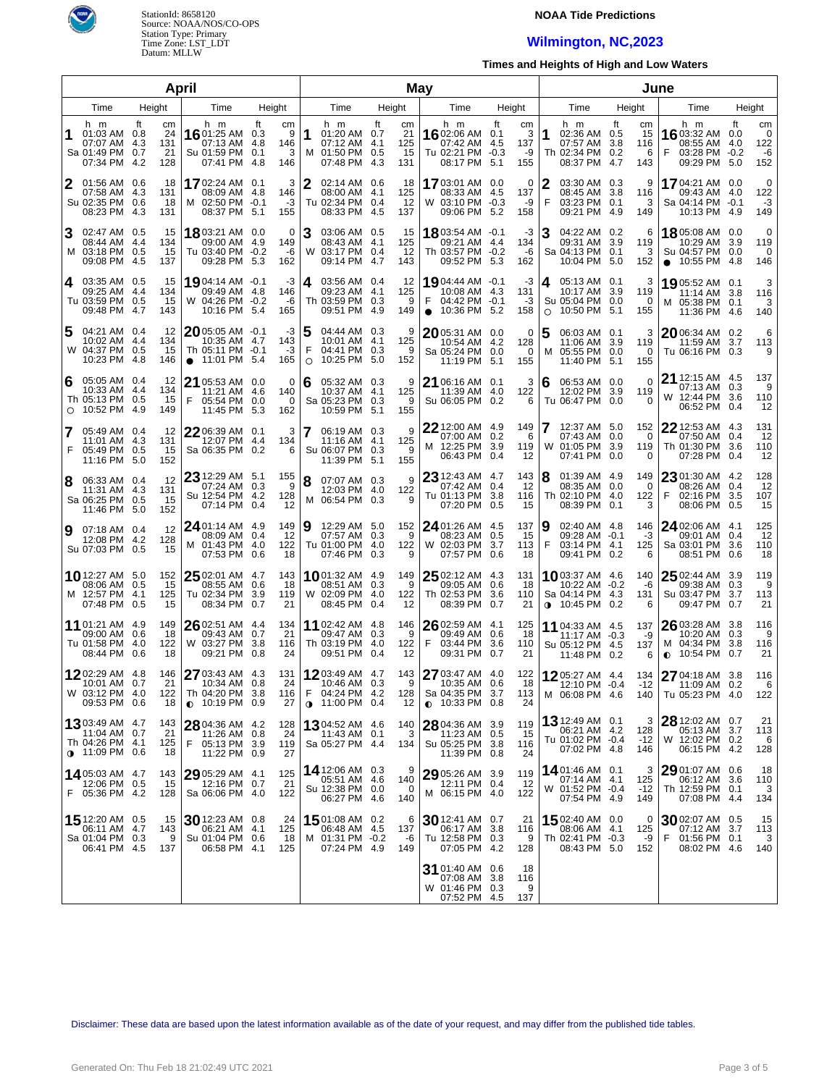

### **NOAA Tide Predictions**

# **Wilmington, NC,2023**

**Times and Heights of High and Low Waters**

|                |                                                                                     |                                           | April                                                                            |                                          | May         |                                                                                |           |                              |                                                                                     |                                                 | June         |                                                                            |                                   |                                                                          |                                                        |  |  |
|----------------|-------------------------------------------------------------------------------------|-------------------------------------------|----------------------------------------------------------------------------------|------------------------------------------|-------------|--------------------------------------------------------------------------------|-----------|------------------------------|-------------------------------------------------------------------------------------|-------------------------------------------------|--------------|----------------------------------------------------------------------------|-----------------------------------|--------------------------------------------------------------------------|--------------------------------------------------------|--|--|
| Time<br>Height |                                                                                     |                                           | Time                                                                             | Height                                   | Time        |                                                                                | Height    |                              | Time                                                                                | Height                                          | Time         |                                                                            | Height                            | Time                                                                     | Height                                                 |  |  |
| 1              | h m<br>01:03 AM 0.8<br>07:07 AM 4.3<br>Sa 01:49 PM 0.7<br>07:34 PM                  | ft<br>cm<br>24<br>131<br>21<br>4.2<br>128 | h m<br>16 01:25 AM 0.3<br>07:13 AM 4.8<br>Su 01:59 PM 0.1<br>07:41 PM            | ft<br>cm<br>9<br>146<br>3<br>-4.8<br>146 | 1           | h m<br>01:20 AM 0.7<br>07:12 AM 4.1<br>M 01:50 PM 0.5<br>07:48 PM              | ft<br>4.3 | cm<br>21<br>125<br>15<br>131 | h m<br>16 02:06 AM<br>07:42 AM 4.5<br>Tu 02:21 PM -0.3<br>08:17 PM                  | ft<br>cm<br>3<br>0.1<br>137<br>-9<br>5.1<br>155 | 1            | h m<br>02:36 AM 0.5<br>07:57 AM 3.8<br>Th 02:34 PM 0.2<br>08:37 PM 4.7     | ft<br>cm<br>15<br>116<br>6<br>143 | h m<br>1603:32 AM<br>08:55 AM<br>F<br>03:28 PM -0.2<br>09:29 PM          | ft<br>cm<br>0<br>0.0<br>122<br>4.0<br>-6<br>152<br>5.0 |  |  |
| 2              | 01:56 AM 0.6<br>07:58 AM 4.3<br>Su 02:35 PM 0.6<br>08:23 PM 4.3                     | 18<br>131<br>18<br>131                    | 1702:24 AM 0.1<br>08:09 AM 4.8<br>M 02:50 PM -0.1<br>08:37 PM 5.1                | 3<br>146<br>$-3$<br>155                  | 2           | 02:14 AM 0.6<br>08:00 AM 4.1<br>Tu 02:34 PM 0.4<br>08:33 PM 4.5                |           | 18<br>125<br>12<br>137       | <b>17</b> 03:01 AM<br>08:33 AM<br>W 03:10 PM -0.3<br>09:06 PM 5.2                   | 0<br>0.0<br>4.5<br>137<br>-9<br>158             | 2<br>F       | 03:30 AM 0.3<br>08:45 AM 3.8<br>03:23 PM 0.1<br>09:21 PM 4.9               | 9<br>116<br>3<br>149              | 17 04:21 AM 0.0<br>09:43 AM 4.0<br>Sa 04:14 PM -0.1<br>10:13 PM 4.9      | 0<br>122<br>$-3$<br>149                                |  |  |
| 3              | 02:47 AM 0.5<br>08:44 AM 4.4<br>M 03:18 PM 0.5<br>09:08 PM                          | 15<br>134<br>15<br>-4.5<br>137            | 18 03:21 AM 0.0<br>09:00 AM 4.9<br>Tu 03:40 PM -0.2<br>09:28 PM 5.3              | $\mathbf 0$<br>149<br>-6<br>162          |             | 03:06 AM 0.5<br>08:43 AM 4.1<br>W 03:17 PM 0.4<br>09:14 PM 4.7                 |           | 15<br>125<br>12<br>143       | 18 03:54 AM -0.1<br>09:21 AM 4.4<br>Th 03:57 PM -0.2<br>09:52 PM 5.3                | -3<br>134<br>$-6$<br>162                        |              | 04:22 AM 0.2<br>09:31 AM 3.9<br>Sa 04:13 PM 0.1<br>10:04 PM 5.0            | 6<br>119<br>3<br>152              | 18 05:08 AM 0.0<br>10:29 AM<br>Su 04:57 PM 0.0<br>$\bullet$ 10:55 PM 4.8 | 0<br>119<br>3.9<br>0<br>146                            |  |  |
| 4              | 03:35 AM 0.5<br>09:25 AM 4.4<br>Tu 03:59 PM 0.5<br>09:48 PM                         | 15<br>134<br>15<br>-4.7<br>143            | 19 04:14 AM -0.1<br>09:49 AM 4.8<br>W 04:26 PM -0.2<br>10:16 PM 5.4              | -3<br>146<br>-6<br>165                   | 4           | 03:56 AM 0.4<br>09:23 AM 4.1<br>Th 03:59 PM 0.3<br>09:51 PM 4.9                |           | 12<br>125<br>9<br>149        | 19 04:44 AM -0.1<br>10:08 AM 4.3<br>F<br>04:42 PM -0.1<br>10:36 PM 5.2<br>$\bullet$ | -3<br>131<br>-3<br>158                          | 4<br>$\circ$ | 05:13 AM 0.1<br>10:17 AM 3.9<br>Su 05:04 PM 0.0<br>10:50 PM 5.1            | 3<br>119<br>0<br>155              | 1905:52 AM 0.1<br>11:14 AM<br>M 05:38 PM 0.1<br>11:36 PM 4.6             | 3<br>3.8<br>116<br>3<br>140                            |  |  |
| 5              | 04:21 AM 0.4<br>10:02 AM 4.4<br>W 04:37 PM 0.5<br>10:23 PM                          | 12<br>134<br>15<br>-4.8<br>146            | 2005:05 AM -0.1<br>10:35 AM 4.7<br>Th 05:11 PM -0.1<br>11:01 PM 5.4<br>$\bullet$ | -3<br>143<br>$-3$<br>165                 | 5<br>F<br>O | 04:44 AM 0.3<br>10:01 AM 4.1<br>04:41 PM 0.3<br>10:25 PM                       | 5.0       | 9<br>125<br>9<br>152         | $2005:31$ AM 0.0<br>10:54 AM<br>Sa 05:24 PM<br>11:19 PM                             | 0<br>4.2<br>128<br>0.0<br>0<br>5.1<br>155       | м            | 06:03 AM 0.1<br>11:06 AM 3.9<br>05:55 PM 0.0<br>11:40 PM 5.1               | 3<br>119<br>0<br>155              | 2006:34 AM 0.2<br>11:59 AM<br>Tu 06:16 PM 0.3                            | 6<br>3.7<br>113<br>9                                   |  |  |
| 6<br>$\circ$   | 05:05 AM 0.4<br>10:33 AM 4.4<br>Th 05:13 PM 0.5<br>10:52 PM                         | 12<br>134<br>15<br>-4.9<br>149            | $2105:53$ AM 0.0<br>11:21 AM 4.6<br>F<br>05:54 PM<br>11:45 PM 5.3                | 0<br>140<br>0.0<br>0<br>162              | 6           | 05:32 AM 0.3<br>10:37 AM 4.1<br>Sa 05:23 PM<br>10:59 PM 5.1                    | 0.3       | 9<br>125<br>9<br>155         | 21 06:16 AM 0.1<br>11:39 AM 4.0<br>Su 06:05 PM 0.2                                  | 3<br>122<br>6                                   | 6            | 06:53 AM 0.0<br>12:02 PM 3.9<br>Tu 06:47 PM 0.0                            | 0<br>119<br>0                     | 21 12:15 AM 4.5<br>07:13 AM 0.3<br>W 12:44 PM<br>06:52 PM                | 137<br>9<br>3.6<br>110<br>12<br>0.4                    |  |  |
| 7<br>F         | 05:49 AM 0.4<br>11:01 AM 4.3<br>05:49 PM<br>11:16 PM 5.0                            | 12<br>131<br>0.5<br>15<br>152             | 2206:39 AM 0.1<br>12:07 PM 4.4<br>Sa 06:35 PM 0.2                                | 3<br>134<br>6                            |             | 06:19 AM 0.3<br>11:16 AM 4.1<br>Su 06:07 PM 0.3<br>11:39 PM 5.1                |           | 9<br>125<br>9<br>155         | 22 12:00 AM 4.9<br>07:00 AM 0.2<br>M 12:25 PM<br>06:43 PM                           | 149<br>6<br>3.9<br>119<br>0.4<br>12             |              | 12:37 AM 5.0<br>07:43 AM 0.0<br>W 01:05 PM 3.9<br>07:41 PM 0.0             | 152<br>0<br>119<br>0              | 22 12:53 AM 4.3<br>07:50 AM 0.4<br>Th 01:30 PM<br>07:28 PM 0.4           | 131<br>12<br>3.6<br>110<br>12                          |  |  |
| 8              | 06:33 AM 0.4<br>11:31 AM 4.3<br>Sa 06:25 PM<br>11:46 PM 5.0                         | 12<br>131<br>0.5<br>15<br>152             | 23 12:29 AM 5.1<br>07:24 AM 0.3<br>Su 12:54 PM 4.2<br>07:14 PM 0.4               | 155<br>- 9<br>128<br>12                  | 8           | 07:07 AM 0.3<br>12:03 PM 4.0<br>M 06:54 PM 0.3                                 |           | 9<br>122<br>9                | 23 12:43 AM 4.7<br>07:42 AM 0.4<br>Tu 01:13 PM<br>07:20 PM 0.5                      | 143<br>-12<br>3.8<br>116<br>15                  | 8            | 01:39 AM 4.9<br>08:35 AM 0.0<br>Th 02:10 PM 4.0<br>08:39 PM 0.1            | 149<br>0<br>122<br>3              | 23 01:30 AM 4.2<br>08:26 AM 0.4<br>02:16 PM<br>08:06 PM 0.5              | 128<br>12<br>3.5<br>107<br>15                          |  |  |
| 9              | 07:18 AM 0.4<br>12:08 PM 4.2<br>Su 07:03 PM 0.5                                     | 12<br>128<br>15                           | 24 01:14 AM 4.9<br>08:09 AM 0.4<br>M 01:43 PM 4.0<br>07:53 PM 0.6                | 149<br>12<br>122<br>18                   | Ι9          | 12:29 AM 5.0<br>07:57 AM 0.3<br>Tu 01:00 PM 4.0<br>07:46 PM 0.3                |           | 152<br>9<br>122<br>9         | 24 01:26 AM 4.5<br>08:23 AM 0.5<br>W 02:03 PM<br>07:57 PM 0.6                       | 137<br>-15<br>3.7<br>113<br>18                  | Ι9<br>F      | 02:40 AM 4.8<br>09:28 AM -0.1<br>03:14 PM 4.1<br>09:41 PM 0.2              | 146<br>-3<br>125<br>6             | 24 02:06 AM 4.1<br>09:01 AM 0.4<br>Sa 03:01 PM<br>08:51 PM               | 125<br>12<br>3.6<br>110<br>18<br>0.6                   |  |  |
|                | 10 12:27 AM 5.0<br>08:06 AM 0.5<br>M 12:57 PM<br>07:48 PM 0.5                       | 152<br>15<br>4.1<br>125<br>15             | 25 02:01 AM 4.7<br>08:55 AM 0.6<br>Tu 02:34 PM<br>08:34 PM 0.7                   | 143<br>18<br>3.9<br>119<br>21            |             | <b>10</b> 01:32 AM 4.9<br>08:51 AM 0.3<br>W 02:09 PM 4.0<br>08:45 PM 0.4       |           | 149<br>9<br>122<br>12        | 25 02:12 AM 4.3<br>09:05 AM 0.6<br>Th 02:53 PM<br>08:39 PM 0.7                      | 131<br>-18<br>3.6<br>110<br>21                  |              | 1003:37 AM 4.6<br>10:22 AM -0.2<br>Sa 04:14 PM 4.3<br>$0.10:45$ PM 0.2     | 140<br>-6<br>131<br>6             | $25$ 02:44 AM<br>09:38 AM 0.3<br>Su 03:47 PM<br>09:47 PM 0.7             | 119<br>3.9<br>9<br>3.7<br>113<br>21                    |  |  |
|                | 11 01:21 AM 4.9<br>09:00 AM 0.6<br>Tu 01:58 PM<br>08:44 PM 0.6                      | 149<br>18<br>-4.0<br>122<br>18            | 26 02:51 AM 4.4<br>09:43 AM 0.7<br>W 03:27 PM<br>09:21 PM 0.8                    | 134<br>21<br>-3.8<br>116<br>24           |             | 11 02:42 AM 4.8<br>09:47 AM 0.3<br>Th 03:19 PM 4.0<br>09:51 PM 0.4             |           | 146<br>9<br>122<br>12        | 26 02:59 AM 4.1<br>09:49 AM 0.6<br>F<br>03:44 PM<br>09:31 PM                        | 125<br>18<br>3.6<br>110<br>0.7<br>21            |              | <b>11</b> 04:33 AM 4.5<br>11:17 AM -0.3<br>Su 05:12 PM 4.5<br>11:48 PM 0.2 | 137<br>-9<br>137<br>6             | 26 03:28 AM 3.8<br>10:20 AM 0.3<br>M 04:34 PM<br>10:54 PM<br>$\bullet$   | 116<br>9<br>3.8<br>116<br>21<br>0.7                    |  |  |
|                | 1202:29 AM 4.8<br>10:01 AM 0.7<br>W 03:12 PM 4.0<br>09:53 PM 0.6                    | 146<br>21<br>122<br>18                    | 27 03:43 AM 4.3<br>10:34 AM 0.8<br>Th 04:20 PM 3.8<br>$\bullet$ 10:19 PM 0.9     | 131<br>24<br>116<br>27                   |             | 1203:49 AM 4.7<br>10:46 AM 0.3<br>$F = 04:24$ PM 4.2<br>$\bullet$ 11:00 PM 0.4 |           | 143<br>9<br>128<br>12        | 27 03:47 AM 4.0<br>10:35 AM 0.6<br>Sa 04:35 PM 3.7<br>$\bullet$ 10:33 PM 0.8        | 122<br>18<br>113<br>24                          |              | 1205:27 AM 4.4<br>12:10 PM -0.4<br>M 06:08 PM 4.6                          | 134<br>$-12$                      | 27 04:18 AM 3.8<br>11:09 AM 0.2<br>140   Tu 05:23 PM 4.0                 | 116<br>6<br>122                                        |  |  |
|                | <b>13</b> 03:49 AM 4.7<br>11:04 AM 0.7<br>Th 04:26 PM 4.1<br>$\bullet$ 11:09 PM 0.6 | 143<br>21<br>125<br>18                    | 28 04:36 AM 4.2<br>11:26 AM 0.8<br>F 05:13 PM 3.9<br>11:22 PM 0.9                | 128<br>24<br>119<br>27                   |             | <b>13</b> 04:52 AM 4.6<br>11:43 AM 0.1<br>Sa 05:27 PM 4.4                      |           | 140<br>3<br>134              | 28 04:36 AM 3.9<br>$11:23$ AM $0.5$<br>Su 05:25 PM 3.8<br>11:39 PM 0.8              | 119<br>15<br>116<br>24                          |              | <b>13</b> 12:49 AM 0.1<br>06:21 AM 4.2<br>Tu 01:02 PM -0.4<br>07:02 PM 4.8 | 3<br>128<br>$-12$<br>146          | 28 12:02 AM 0.7<br>05:13 AM<br>W 12:02 PM 0.2<br>06:15 PM 4.2            | 21<br>113<br>3.7<br>6<br>128                           |  |  |
|                | 14 05:03 AM 4.7<br>12:06 PM 0.5<br>F 05:36 PM 4.2                                   | 143<br>15<br>128                          | 29 05:29 AM 4.1<br>12:16 PM 0.7<br>Sa 06:06 PM 4.0                               | 125<br>21<br>122                         |             | 14 12:06 AM 0.3<br>05:51 AM 4.6<br>Su 12:38 PM 0.0<br>06:27 PM 4.6             |           | 9<br>140<br>$\Omega$<br>140  | 29 05:26 AM 3.9<br>12:11 PM 0.4<br>M 06:15 PM 4.0                                   | 119<br>-12<br>122                               |              | 14 01:46 AM 0.1<br>$07:14$ AM $4.1$<br>W 01:52 PM -0.4<br>07:54 PM 4.9     | 3<br>125<br>$-12$<br>149          | 29 01:07 AM 0.6<br>06:12 AM<br>Th 12:59 PM 0.1<br>07:08 PM 4.4           | 18<br>3.6<br>110<br>3<br>134                           |  |  |
|                | 15 12:20 AM 0.5<br>06:11 AM 4.7<br>Sa 01:04 PM 0.3<br>06:41 PM 4.5                  | 15<br>143<br>9<br>137                     | 30 12:23 AM 0.8<br>06:21 AM 4.1<br>Su 01:04 PM 0.6<br>06:58 PM 4.1               | 24<br>125<br>18<br>125                   |             | 1501:08 AM 0.2<br>06:48 AM 4.5<br>M 01:31 PM -0.2<br>07:24 PM 4.9              |           | 6<br>137<br>-6<br>149        | 30 12:41 AM 0.7<br>06:17 AM<br>Tu 12:58 PM 0.3<br>07:05 PM 4.2                      | 21<br>3.8<br>116<br>9<br>128                    |              | 1502:40 AM 0.0<br>08:06 AM 4.1<br>Th 02:41 PM -0.3<br>08:43 PM 5.0         | 0<br>125<br>-9<br>152             | $3002:07$ AM $0.5$<br>07:12 AM<br>F<br>01:56 PM 0.1<br>08:02 PM 4.6      | 15<br>113<br>3.7<br>3<br>140                           |  |  |
|                |                                                                                     |                                           |                                                                                  |                                          |             |                                                                                |           |                              | 31 01:40 AM 0.6<br>07:08 AM 3.8<br>W 01:46 PM 0.3<br>07:52 PM 4.5                   | 18<br>116<br>9<br>137                           |              |                                                                            |                                   |                                                                          |                                                        |  |  |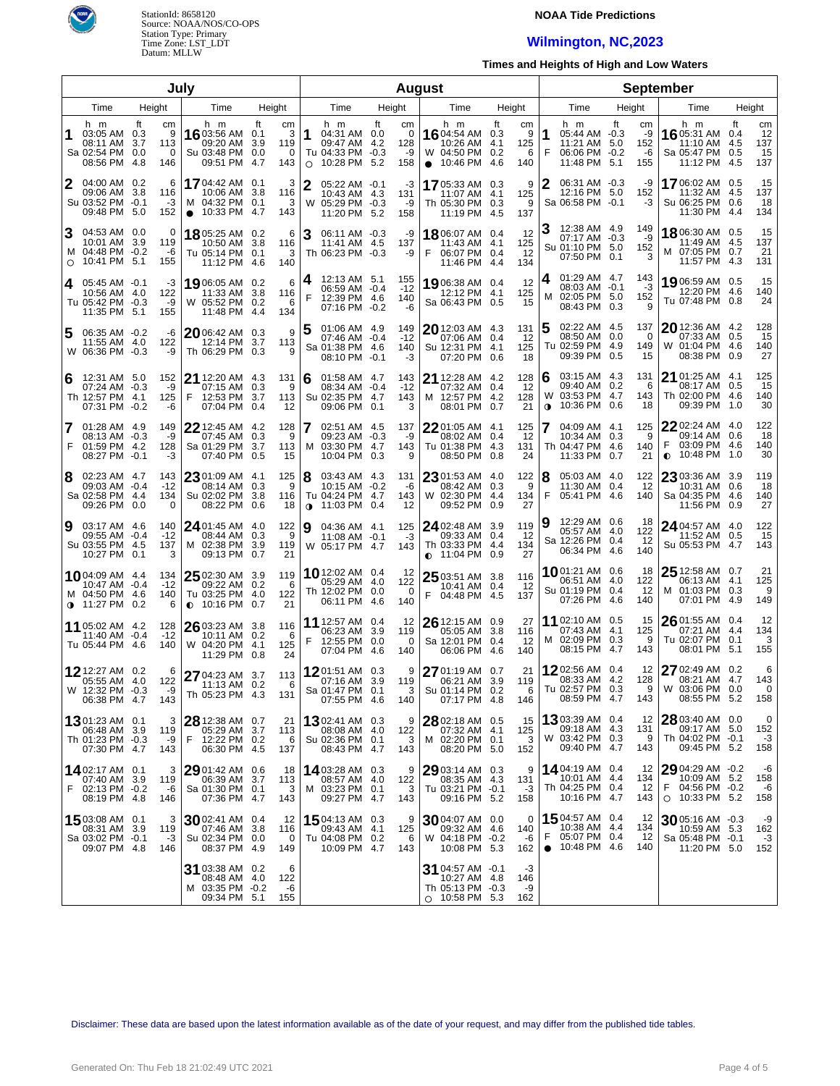

### **NOAA Tide Predictions**

# **Wilmington, NC,2023**

**Times and Heights of High and Low Waters**

| July           |                                                                             |                  |                                 |                                                                         |                   |                                      |                                                                                         |     | <b>August</b>                |                                                                                     |                                 |                            |                                                                                   | <b>September</b>                          |                                                                                   |                                                          |
|----------------|-----------------------------------------------------------------------------|------------------|---------------------------------|-------------------------------------------------------------------------|-------------------|--------------------------------------|-----------------------------------------------------------------------------------------|-----|------------------------------|-------------------------------------------------------------------------------------|---------------------------------|----------------------------|-----------------------------------------------------------------------------------|-------------------------------------------|-----------------------------------------------------------------------------------|----------------------------------------------------------|
| Time<br>Height |                                                                             |                  |                                 | Time                                                                    | Height            | Time                                 | Height                                                                                  |     | Time                         | Height                                                                              |                                 | Time                       | Height                                                                            | Time                                      | Height                                                                            |                                                          |
| 1              | h m<br>03:05 AM 0.3<br>08:11 AM 3.7<br>Sa 02:54 PM 0.0<br>08:56 PM 4.8      | ft<br>113<br>146 | cm<br>9<br>0                    | h m<br>16 03:56 AM 0.1<br>09:20 AM<br>Su 03:48 PM<br>09:51 PM 4.7       | ft<br>3.9<br>0.0  | cm<br>3<br>119<br>$\mathbf 0$<br>143 | h m<br>1<br>04:31 AM 0.0<br>09:47 AM 4.2<br>Tu 04:33 PM -0.3<br>10:28 PM 5.2<br>$\circ$ | ft  | cm<br>0<br>128<br>-9<br>158  | h m<br><b>16</b> 04:54 AM<br>10:26 AM<br>W 04:50 PM<br>10:46 PM<br>$\bullet$        | ft<br>0.3<br>4.1<br>0.2<br>-4.6 | cm<br>9<br>125<br>6<br>140 | h m<br>1<br>05:44 AM -0.3<br>11:21 AM<br>F<br>06:06 PM -0.2<br>11:48 PM 5.1       | ft<br>cm<br>-9<br>5.0<br>152<br>-6<br>155 | h m<br>16 05:31 AM<br>11:10 AM<br>Sa 05:47 PM 0.5<br>11:12 PM                     | ft<br>cm<br>12<br>0.4<br>137<br>4.5<br>15<br>137<br>-4.5 |
| 12             | 04:00 AM 0.2<br>09:06 AM 3.8<br>Su 03:52 PM -0.1<br>09:48 PM 5.0            |                  | 6<br>116<br>-3<br>152           | 17 04:42 AM<br>10:06 AM<br>M 04:32 PM<br>10:33 PM 4.7<br>$\bullet$      | 0.1<br>3.8<br>0.1 | 3<br>116<br>3<br>143                 | 2<br>05:22 AM -0.1<br>10:43 AM 4.3<br>W 05:29 PM -0.3<br>11:20 PM 5.2                   |     | -3<br>131<br>-9<br>158       | 1705:33 AM 0.3<br>11:07 AM<br>Th 05:30 PM 0.3<br>11:19 PM 4.5                       | -4.1                            | 9<br>125<br>9<br>137       | 06:31 AM -0.3<br>12:16 PM 5.0<br>Sa 06:58 PM -0.1                                 | -9<br>152<br>-3                           | <b>17</b> 06:02 AM<br>11:32 AM 4.5<br>Su 06:25 PM 0.6<br>11:30 PM 4.4             | 15<br>0.5<br>137<br>18<br>134                            |
| 3<br>$\circ$   | 04:53 AM 0.0<br>10:01 AM 3.9<br>M 04:48 PM -0.2<br>10:41 PM 5.1             | 119<br>155       | 0<br>-6                         | 1805:25 AM 0.2<br>10:50 AM<br>Tu 05:14 PM 0.1<br>11:12 PM 4.6           | 3.8               | 6<br>116<br>3<br>140                 | 3<br>06:11 AM -0.3<br>11:41 AM 4.5<br>Th 06:23 PM -0.3                                  |     | -9<br>137<br>-9              | 1806:07 AM 0.4<br>11:43 AM 4.1<br>F<br>06:07 PM 0.4<br>11:46 PM 4.4                 |                                 | 12<br>125<br>12<br>134     | 12:38 AM 4.9<br>07:17 AM -0.3<br>Su 01:10 PM 5.0<br>07:50 PM 0.1                  | 149<br>-9<br>152<br>3                     | 18 06:30 AM<br>11:49 AM 4.5<br>M 07:05 PM 0.7<br>11:57 PM 4.3                     | 15<br>0.5<br>137<br>21<br>131                            |
| 4              | $05:45$ AM $-0.1$<br>10:56 AM 4.0<br>Tu 05:42 PM -0.3<br>11:35 PM 5.1       | 155              | -3<br>122<br>-9                 | 1906:05 AM 0.2<br>11:33 AM<br>W 05:52 PM 0.2<br>11:48 PM 4.4            | 3.8               | 6<br>116<br>6<br>134                 | 12:13 AM 5.1<br>4<br>06:59 AM -0.4<br>F<br>12:39 PM 4.6<br>07:16 PM -0.2                |     | 155<br>$-12$<br>140<br>-6    | 1906:38 AM 0.4<br>12:12 PM 4.1<br>Sa 06:43 PM 0.5                                   |                                 | 12<br>125<br>15            | 01:29 AM 4.7<br>4<br>08:03 AM -0.1<br>м<br>02:05 PM 5.0<br>08:43 PM 0.3           | 143<br>-3<br>152<br>9                     | 19 06:59 AM 0.5<br>12:20 PM 4.6<br>Tu 07:48 PM 0.8                                | 15<br>140<br>24                                          |
| 5              | 06:35 AM -0.2<br>11:55 AM 4.0<br>W 06:36 PM -0.3                            | 122              | -6<br>-9                        | 2006:42 AM 0.3<br>12:14 PM<br>Th 06:29 PM 0.3                           | 3.7               | 9<br>113<br>9                        | 01:06 AM 4.9<br>5<br>07:46 AM -0.4<br>Sa 01:38 PM 4.6<br>08:10 PM -0.1                  |     | 149<br>$-12$<br>140<br>-3    | $20$ 12:03 AM 4.3<br>07:06 AM<br>Su 12:31 PM 4.1<br>07:20 PM                        | 0.4<br>0.6                      | 131<br>12<br>125<br>18     | 02:22 AM 4.5<br>08:50 AM 0.0<br>Tu 02:59 PM 4.9<br>09:39 PM 0.5                   | 137<br>$\Omega$<br>149<br>15              | 20 12:36 AM 4.2<br>07:33 AM 0.5<br>W 01:04 PM 4.6<br>08:38 PM                     | 128<br>15<br>140<br>27<br>0.9                            |
| 6              | 12:31 AM 5.0<br>07:24 AM -0.3<br>Th 12:57 PM 4.1<br>07:31 PM -0.2           |                  | 152<br>-9<br>125<br>-6          | 21 12:20 AM 4.3<br>07:15 AM<br>12:53 PM 3.7<br>F<br>07:04 PM            | 0.3<br>0.4        | 131<br>9<br>113<br>12                | 01:58 AM 4.7<br>6<br>08:34 AM -0.4<br>Su 02:35 PM 4.7<br>09:06 PM                       | 0.1 | 143<br>$-12$<br>143<br>3     | 21 12:28 AM 4.2<br>07:32 AM<br>12:57 PM 4.2<br>M<br>08:01 PM                        | 0.4<br>0.7                      | 128<br>12<br>128<br>21     | 03:15 AM 4.3<br>6<br>09:40 AM 0.2<br>W 03:53 PM 4.7<br>10:36 PM<br>$\mathbf 0$    | 131<br>6<br>143<br>0.6<br>18              | $21$ 01:25 AM $\,$ 4.1 $\,$<br>08:17 AM 0.5<br>Th 02:00 PM 4.6<br>09:39 PM        | 125<br>15<br>140<br>30<br>1.0                            |
| 7<br>F         | 01:28 AM 4.9<br>08:13 AM -0.3<br>01:59 PM 4.2<br>08:27 PM -0.1              |                  | 149<br>-9<br>128<br>-3          | <b>22</b> 12:45 AM 4.2<br>07:45 AM<br>Sa 01:29 PM<br>07:40 PM           | 0.3<br>3.7<br>0.5 | 128<br>9<br>113<br>15                | 02:51 AM 4.5<br>09:23 AM -0.3<br>M 03:30 PM 4.7<br>10:04 PM                             | 0.3 | 137<br>-9<br>143<br>9        | $22$ 01:05 AM 4.1<br>08:02 AM<br>Tu 01:38 PM 4.3<br>08:50 PM                        | 0.4<br>0.8                      | 125<br>12<br>131<br>24     | 04:09 AM 4.1<br>10:34 AM 0.3<br>Th 04:47 PM 4.6<br>11:33 PM                       | 125<br>9<br>140<br>0.7<br>21              | $22$ 02:24 AM $\,$ 4.0 $\,$<br>09:14 AM 0.6<br>F<br>03:09 PM 4.6<br>10:48 PM<br>0 | 122<br>18<br>140<br>30<br>1.0                            |
| 8              | 02:23 AM 4.7<br>09:03 AM -0.4<br>Sa 02:58 PM 4.4<br>09:26 PM 0.0            |                  | 143<br>$-12$<br>134<br>$\Omega$ | 23 01:09 AM 4.1<br>08:14 AM<br>Su 02:02 PM<br>08:22 PM                  | 0.3<br>3.8<br>0.6 | 125<br>9<br>116<br>18                | 8<br>03:43 AM 4.3<br>10:15 AM -0.2<br>Tu 04:24 PM 4.7<br>11:03 PM 0.4<br>$\bullet$      |     | 131<br>-6<br>143<br>12       | $2301:53$ AM 4.0<br>08:42 AM<br>W 02:30 PM 4.4<br>09:52 PM                          | 0.3<br>0.9                      | 122<br>9<br>134<br>27      | 05:03 AM 4.0<br>18<br>11:30 AM 0.4<br>F<br>05:41 PM 4.6                           | 122<br>12<br>140                          | 23 03:36 AM 3.9<br>10:31 AM 0.6<br>Sa 04:35 PM 4.6<br>11:56 PM                    | 119<br>18<br>140<br>27<br>0.9                            |
| 19             | 03:17 AM 4.6<br>09:55 AM -0.4<br>Su 03:55 PM 4.5<br>10:27 PM 0.1            |                  | 140<br>$-12$<br>137<br>3        | 24 01:45 AM 4.0<br>08:44 AM<br>M 02:38 PM<br>09:13 PM                   | 0.3<br>3.9<br>0.7 | 122<br>9<br>119<br>21                | 9<br>04:36 AM 4.1<br>11:08 AM -0.1<br>W 05:17 PM 4.7                                    |     | 125<br>-3<br>143             | 24 02:48 AM 3.9<br>09:33 AM<br>Th 03:33 PM 4.4<br>$\bullet$ 11:04 PM 0.9            | 0.4                             | 119<br>12<br>134<br>27     | 12:29 AM 0.6<br>19<br>05:57 AM 4.0<br>Sa 12:26 PM 0.4<br>06:34 PM 4.6             | -18<br>122<br>12<br>140                   | $2404:57$ AM $4.0$<br>11:52 AM 0.5<br>Su 05:53 PM 4.7                             | 122<br>15<br>143                                         |
|                | 1004:09 AM 4.4<br>10:47 AM -0.4<br>M 04:50 PM 4.6<br>$\bullet$ 11:27 PM 0.2 |                  | 134<br>$-12$<br>140<br>6        | 25 02:30 AM 3.9<br>09:22 AM<br>Tu 03:25 PM 4.0<br>10:16 PM<br>$\bullet$ | 0.2<br>0.7        | 119<br>- 6<br>122<br>21              | <b>10</b> 12:02 AM 0.4<br>05:29 AM 4.0<br>Th 12:02 PM 0.0<br>06:11 PM 4.6               |     | 12<br>122<br>$\Omega$<br>140 | $2503:51$ AM 3.8<br>10:41 AM 0.4<br>F<br>04:48 PM 4.5                               |                                 | 116<br>12<br>137           | 1001:21 AM 0.6<br>06:51 AM 4.0<br>Su 01:19 PM 0.4<br>07:26 PM 4.6                 | 18<br>122<br>12<br>140                    | $2512:58$ AM 0.7<br>06:13 AM 4.1<br>M 01:03 PM 0.3<br>07:01 PM 4.9                | 21<br>125<br>9<br>149                                    |
|                | 11 05:02 AM 4.2<br>11:40 AM -0.4<br>Tu 05:44 PM 4.6                         | 128              | $-12$<br>140                    | 26 03:23 AM 3.8<br>10:11 AM 0.2<br>W 04:20 PM 4.1<br>11:29 PM 0.8       |                   | 116<br>6<br>125<br>24                | <b>11</b> 12:57 AM 0.4<br>06:23 AM 3.9<br>F<br>12:55 PM 0.0<br>07:04 PM 4.6             |     | 12<br>119<br>$\Omega$<br>140 | $26$ 12:15 AM 0.9<br>05:05 AM 3.8<br>Sa 12:01 PM 0.4<br>06:06 PM 4.6                |                                 | 27<br>116<br>12<br>140     | 11 02:10 AM 0.5<br>07:43 AM 4.1<br>M 02:09 PM 0.3<br>08:15 PM 4.7                 | 15<br>125<br>9<br>143                     | 26 01:55 AM 0.4<br>07:21 AM 4.4<br>Tu 02:07 PM 0.1<br>08:01 PM 5.1                | 12<br>134<br>3<br>155                                    |
|                | 12 12:27 AM 0.2<br>05:55 AM 4.0<br>W 12:32 PM -0.3<br>06:38 PM 4.7          | 143              | 6<br>122<br>-9                  | 27 04:23 AM 3.7<br>11:13 AM 0.2<br>Th 05:23 PM 4.3                      |                   | 113<br>6<br>131                      | 1201:51 AM 0.3<br>07:16 AM 3.9<br>Sa 01:47 PM 0.1<br>07:55 PM 4.6                       |     | 9<br>119<br>3<br>140         | 27 01:19 AM 0.7<br>06:21 AM 3.9<br>Su 01:14 PM 0.2<br>07:17 PM 4.8                  |                                 | 21<br>119<br>6<br>146      | 1202:56 AM 0.4<br>08:33 AM 4.2<br>Tu 02:57 PM 0.3<br>08:59 PM 4.7                 | 12<br>128<br>9<br>143                     | 27 02:49 AM 0.2<br>08:21 AM 4.7<br>W 03:06 PM 0.0<br>08:55 PM 5.2                 | 6<br>143<br>0<br>158                                     |
|                | <b>13</b> 01:23 AM 0.1<br>06:48 AM 3.9<br>Th 01:23 PM -0.3<br>07:30 PM 4.7  |                  | 3<br>119<br>-9<br>143           | 28 12:38 AM 0.7<br>05:29 AM 3.7<br>F<br>12:22 PM 0.2<br>06:30 PM 4.5    |                   | 21<br>113<br>6<br>137                | 1302:41 AM 0.3<br>08:08 AM 4.0<br>Su 02:36 PM 0.1<br>08:43 PM 4.7                       |     | 9<br>122<br>3<br>143         | 28 02:18 AM 0.5<br>07:32 AM 4.1<br>M 02:20 PM 0.1<br>08:20 PM 5.0                   |                                 | 15<br>125<br>3<br>152      | <b>13.</b> 03:39 AM 0.4<br>09:18 AM 4.3<br>W 03:42 PM 0.3<br>09:40 PM 4.7         | 12<br>131<br>9<br>143                     | 28 03:40 AM 0.0<br>09:17 AM 5.0<br>Th 04:02 PM -0.1<br>09:45 PM 5.2               | 0<br>152<br>-3<br>158                                    |
| F.             | 1402:17 AM 0.1<br>07:40 AM 3.9<br>02:13 PM -0.2<br>08:19 PM 4.8             | 119              | 3<br>-6<br>146                  | 2901:42 AM<br>06:39 AM<br>Sa 01:30 PM 0.1<br>07:36 PM 4.7               | 0.6<br>3.7        | 18<br>113<br>3<br>143                | 1403:28 AM 0.3<br>08:57 AM 4.0<br>M 03:23 PM 0.1<br>09:27 PM 4.7                        |     | 9<br>122<br>3<br>143         | $2903:14$ AM 0.3<br>08:35 AM 4.3<br>Tu 03:21 PM -0.1<br>09:16 PM 5.2                |                                 | 9<br>131<br>-3<br>158      | 14.04:19 AM 0.4<br>10:01 AM = 4.4<br>Th 04:25 PM 0.4<br>10:16 PM 4.7              | 12<br>134<br>12<br>143                    | 29 04:29 AM -0.2<br>10:09 AM 5.2<br>F<br>04:56 PM -0.2<br>10:33 PM 5.2<br>$\circ$ | -6<br>158<br>-6<br>158                                   |
|                | 15 03:08 AM 0.1<br>08:31 AM 3.9<br>Sa 03:02 PM -0.1<br>09:07 PM 4.8         | 119              | 3<br>-3<br>146                  | $30$ 02:41 AM<br>07:46 AM<br>Su 02:34 PM 0.0<br>08:37 PM 4.9            | 0.4<br>3.8        | 12<br>116<br>0<br>149                | 1504:13 AM 0.3<br>09:43 AM 4.1<br>Tu 04:08 PM 0.2<br>10:09 PM 4.7                       |     | 9<br>125<br>6<br>143         | $30$ 04:07 AM 0.0<br>09:32 AM 4.6<br>W 04:18 PM -0.2<br>10:08 PM 5.3                |                                 | 0<br>140<br>-6<br>162      | 15,04:57 AM 0.4<br>10:38 AM 4.4<br>F<br>05:07 PM 0.4<br>10:48 PM 4.6<br>$\bullet$ | 12<br>134<br>-12<br>140                   | $30$ 05:16 AM $\,$ -0.3 $\,$<br>10:59 AM 5.3<br>Sa 05:48 PM -0.1<br>11:20 PM 5.0  | -9<br>162<br>$-3$<br>152                                 |
|                |                                                                             |                  |                                 | 31 03:38 AM 0.2<br>08:48 AM 4.0<br>M 03:35 PM -0.2<br>09:34 PM 5.1      |                   | 6<br>122<br>-6<br>155                |                                                                                         |     |                              | $31$ 04:57 AM $-0.1$<br>10:27 AM 4.8<br>Th 05:13 PM -0.3<br>10:58 PM 5.3<br>$\circ$ |                                 | -3<br>146<br>-9<br>162     |                                                                                   |                                           |                                                                                   |                                                          |